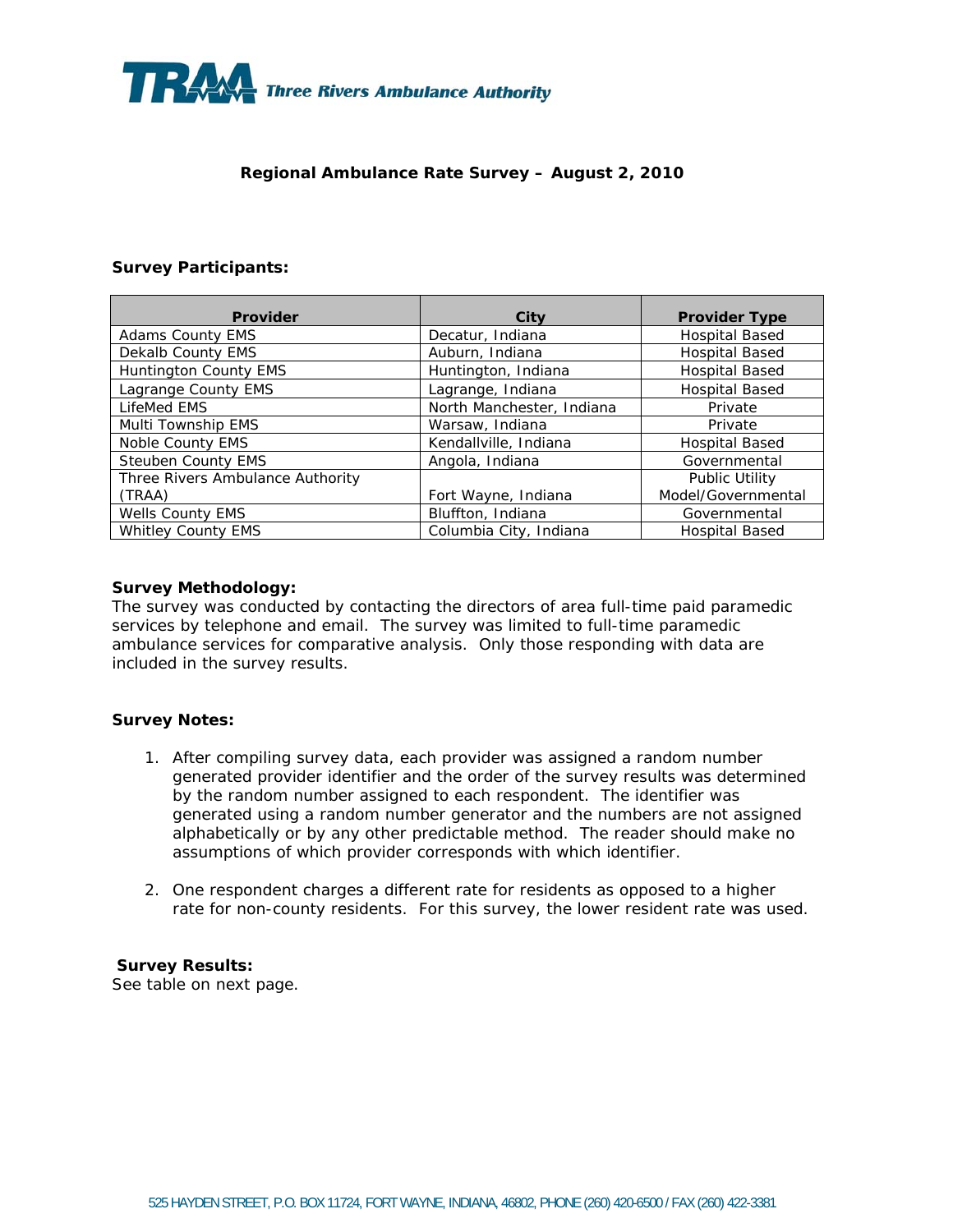

## **Regional Ambulance Rate Survey – August 2, 2010**

### **Survey Participants:**

| Provider                         | City                      | <b>Provider Type</b>  |
|----------------------------------|---------------------------|-----------------------|
| <b>Adams County EMS</b>          | Decatur, Indiana          | <b>Hospital Based</b> |
| Dekalb County EMS                | Auburn, Indiana           | <b>Hospital Based</b> |
| Huntington County EMS            | Huntington, Indiana       | <b>Hospital Based</b> |
| Lagrange County EMS              | Lagrange, Indiana         | <b>Hospital Based</b> |
| LifeMed EMS                      | North Manchester, Indiana | Private               |
| Multi Township EMS               | Warsaw, Indiana           | Private               |
| Noble County EMS                 | Kendallville, Indiana     | Hospital Based        |
| <b>Steuben County EMS</b>        | Angola, Indiana           | Governmental          |
| Three Rivers Ambulance Authority |                           | <b>Public Utility</b> |
| (TRAA)                           | Fort Wayne, Indiana       | Model/Governmental    |
| <b>Wells County EMS</b>          | Bluffton, Indiana         | Governmental          |
| <b>Whitley County EMS</b>        | Columbia City, Indiana    | <b>Hospital Based</b> |

### **Survey Methodology:**

The survey was conducted by contacting the directors of area full-time paid paramedic services by telephone and email. The survey was limited to full-time paramedic ambulance services for comparative analysis. Only those responding with data are included in the survey results.

### **Survey Notes:**

- 1. After compiling survey data, each provider was assigned a random number generated provider identifier and the order of the survey results was determined by the random number assigned to each respondent. The identifier was generated using a random number generator and the numbers are not assigned alphabetically or by any other predictable method. The reader should make no assumptions of which provider corresponds with which identifier.
- 2. One respondent charges a different rate for residents as opposed to a higher rate for non-county residents. For this survey, the lower resident rate was used.

## **Survey Results:**

See table on next page.